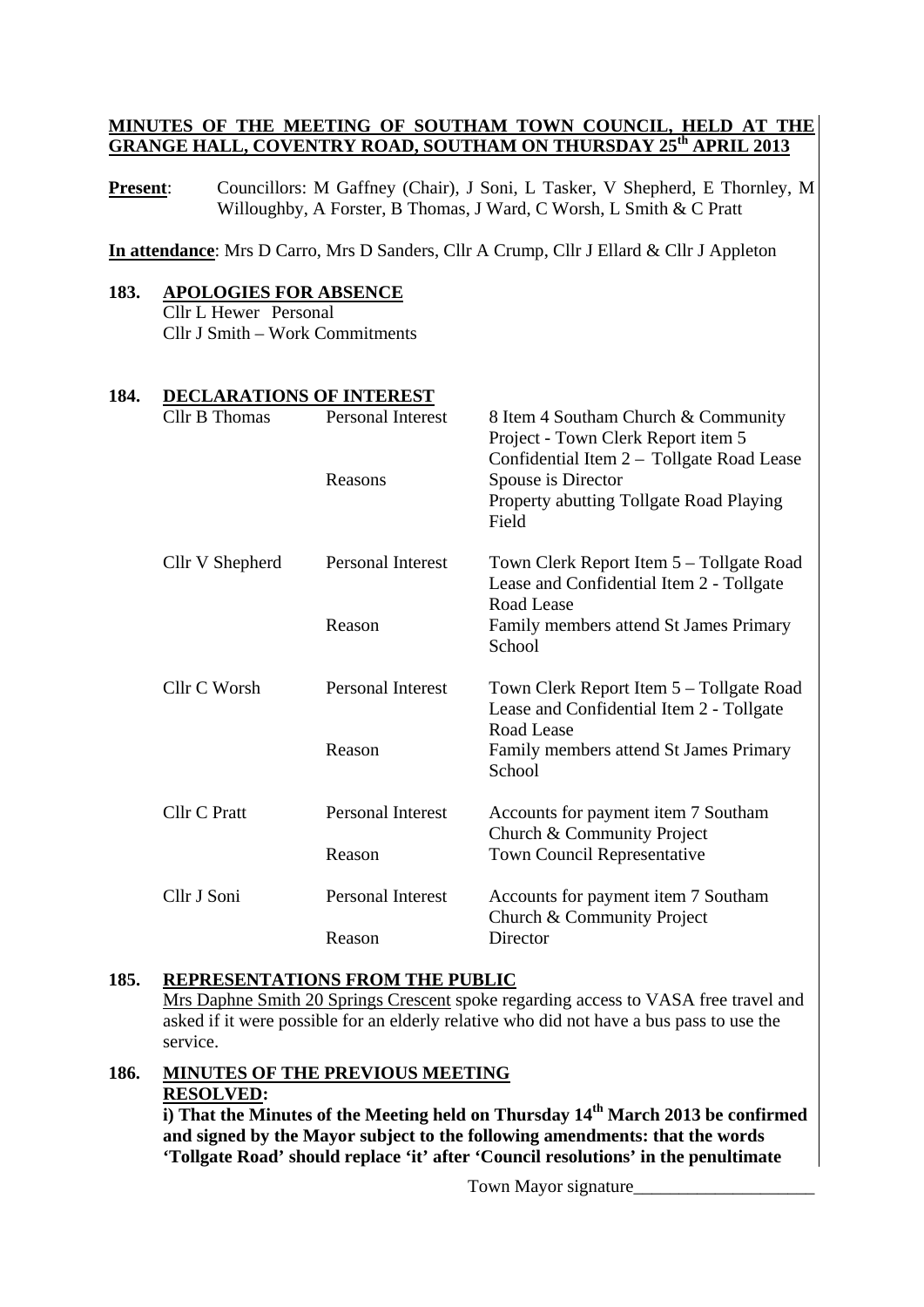#### **MINUTES OF THE MEETING OF SOUTHAM TOWN COUNCIL, HELD AT THE GRANGE HALL, COVENTRY ROAD, SOUTHAM ON THURSDAY 25th APRIL 2013**

**Present**: Councillors: M Gaffney (Chair), J Soni, L Tasker, V Shepherd, E Thornley, M Willoughby, A Forster, B Thomas, J Ward, C Worsh, L Smith & C Pratt

**In attendance**: Mrs D Carro, Mrs D Sanders, Cllr A Crump, Cllr J Ellard & Cllr J Appleton

### **183. APOLOGIES FOR ABSENCE**

Cllr L Hewer Personal Cllr J Smith – Work Commitments

#### **184. DECLARATIONS OF INTEREST**

| <b>Cllr B Thomas</b> | <b>Personal Interest</b> | 8 Item 4 Southam Church & Community<br>Project - Town Clerk Report item 5<br>Confidential Item 2 - Tollgate Road Lease |
|----------------------|--------------------------|------------------------------------------------------------------------------------------------------------------------|
|                      | Reasons                  | Spouse is Director<br>Property abutting Tollgate Road Playing<br>Field                                                 |
| Cllr V Shepherd      | <b>Personal Interest</b> | Town Clerk Report Item 5 – Tollgate Road<br>Lease and Confidential Item 2 - Tollgate<br>Road Lease                     |
|                      | Reason                   | Family members attend St James Primary<br>School                                                                       |
| Cllr C Worsh         | <b>Personal Interest</b> | Town Clerk Report Item 5 – Tollgate Road<br>Lease and Confidential Item 2 - Tollgate<br>Road Lease                     |
|                      | Reason                   | Family members attend St James Primary<br>School                                                                       |
| Cllr C Pratt         | <b>Personal Interest</b> | Accounts for payment item 7 Southam<br>Church & Community Project                                                      |
|                      | Reason                   | <b>Town Council Representative</b>                                                                                     |
| Cllr J Soni          | <b>Personal Interest</b> | Accounts for payment item 7 Southam<br>Church & Community Project                                                      |
|                      | Reason                   | Director                                                                                                               |

#### **185. REPRESENTATIONS FROM THE PUBLIC**

Mrs Daphne Smith 20 Springs Crescent spoke regarding access to VASA free travel and asked if it were possible for an elderly relative who did not have a bus pass to use the service.

# **186. MINUTES OF THE PREVIOUS MEETING RESOLVED:**

**i) That the Minutes of the Meeting held on Thursday 14th March 2013 be confirmed and signed by the Mayor subject to the following amendments: that the words 'Tollgate Road' should replace 'it' after 'Council resolutions' in the penultimate**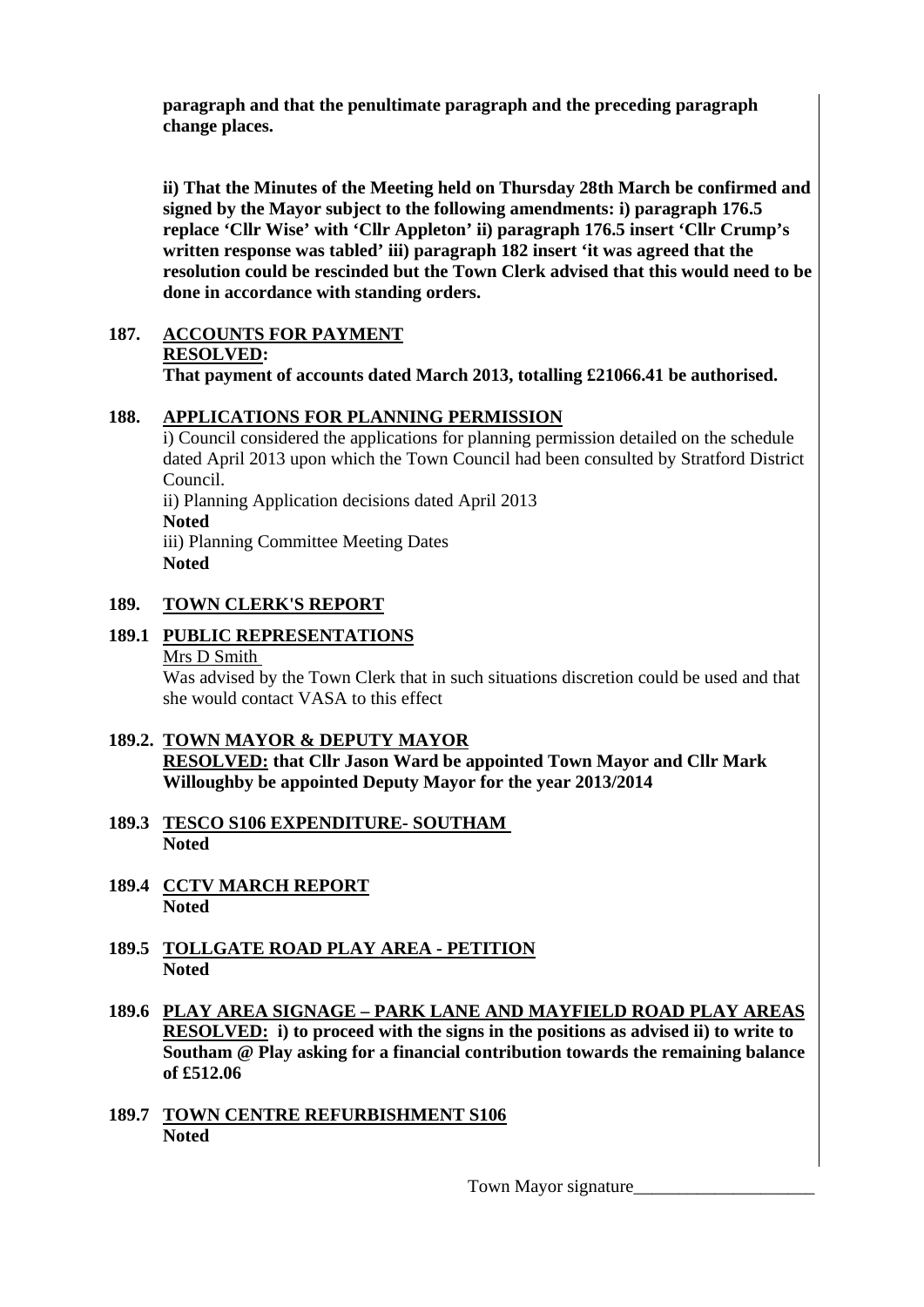**paragraph and that the penultimate paragraph and the preceding paragraph change places.** 

**ii) That the Minutes of the Meeting held on Thursday 28th March be confirmed and signed by the Mayor subject to the following amendments: i) paragraph 176.5 replace 'Cllr Wise' with 'Cllr Appleton' ii) paragraph 176.5 insert 'Cllr Crump's written response was tabled' iii) paragraph 182 insert 'it was agreed that the resolution could be rescinded but the Town Clerk advised that this would need to be done in accordance with standing orders.** 

# **187. ACCOUNTS FOR PAYMENT RESOLVED:**

**That payment of accounts dated March 2013, totalling £21066.41 be authorised.** 

#### **188. APPLICATIONS FOR PLANNING PERMISSION**

i) Council considered the applications for planning permission detailed on the schedule dated April 2013 upon which the Town Council had been consulted by Stratford District Council.

ii) Planning Application decisions dated April 2013 **Noted**  iii) Planning Committee Meeting Dates **Noted** 

#### **189. TOWN CLERK'S REPORT**

# **189.1 PUBLIC REPRESENTATIONS**

#### Mrs D Smith

Was advised by the Town Clerk that in such situations discretion could be used and that she would contact VASA to this effect

#### **189.2. TOWN MAYOR & DEPUTY MAYOR RESOLVED: that Cllr Jason Ward be appointed Town Mayor and Cllr Mark Willoughby be appointed Deputy Mayor for the year 2013/2014**

- **189.3 TESCO S106 EXPENDITURE- SOUTHAM Noted**
- **189.4 CCTV MARCH REPORT Noted**
- **189.5 TOLLGATE ROAD PLAY AREA PETITION Noted**
- **189.6 PLAY AREA SIGNAGE PARK LANE AND MAYFIELD ROAD PLAY AREAS RESOLVED: i) to proceed with the signs in the positions as advised ii) to write to Southam @ Play asking for a financial contribution towards the remaining balance of £512.06**
- **189.7 TOWN CENTRE REFURBISHMENT S106 Noted**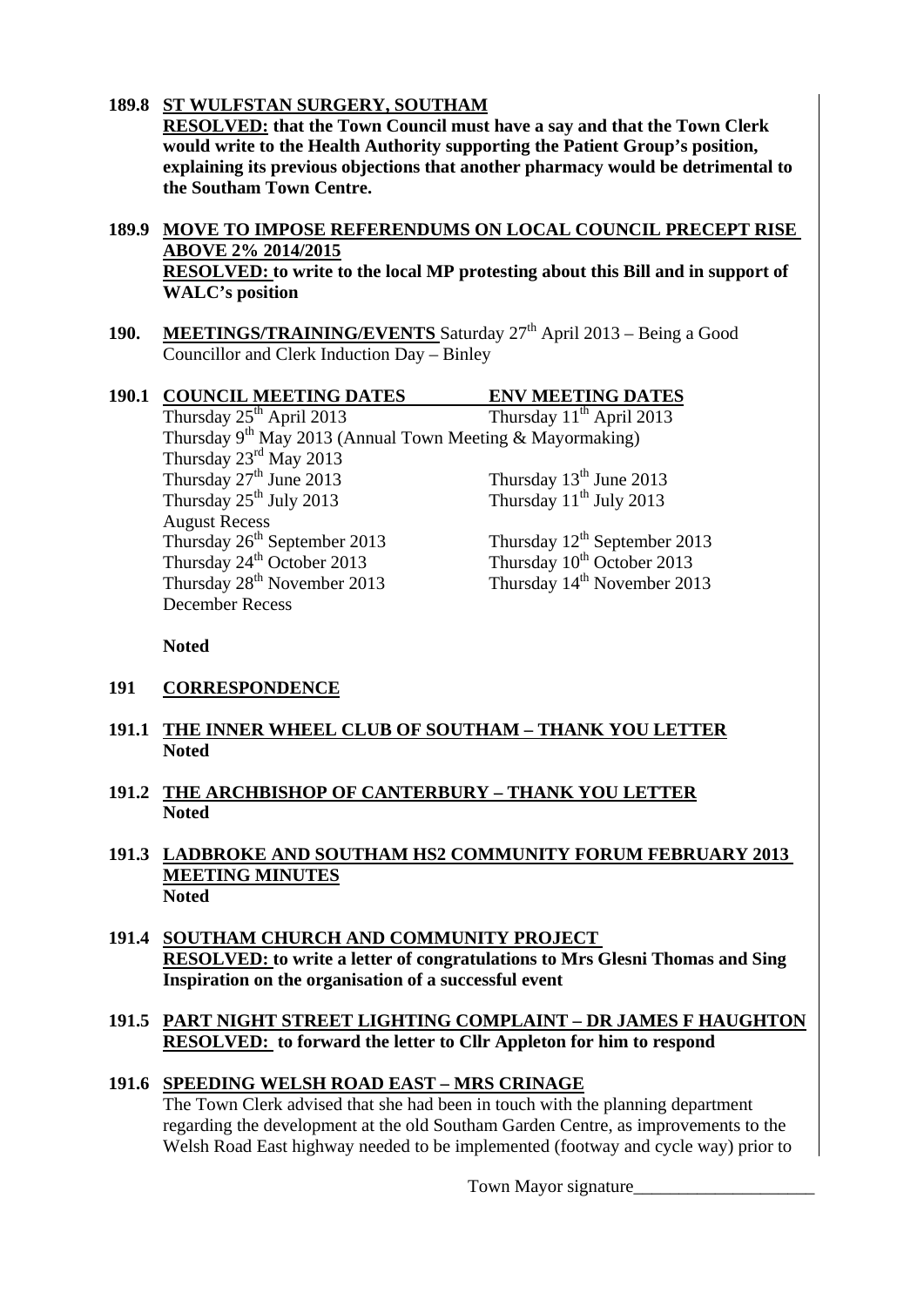# **189.8 ST WULFSTAN SURGERY, SOUTHAM**

 **RESOLVED: that the Town Council must have a say and that the Town Clerk would write to the Health Authority supporting the Patient Group's position, explaining its previous objections that another pharmacy would be detrimental to the Southam Town Centre.** 

- **189.9 MOVE TO IMPOSE REFERENDUMS ON LOCAL COUNCIL PRECEPT RISE ABOVE 2% 2014/2015 RESOLVED: to write to the local MP protesting about this Bill and in support of WALC's position**
- **190. MEETINGS/TRAINING/EVENTS** Saturday 27<sup>th</sup> April 2013 Being a Good Councillor and Clerk Induction Day – Binley

| 190.1 | <b>COUNCIL MEETING DATES</b>                                          | <b>ENV MEETING DATES</b>                |
|-------|-----------------------------------------------------------------------|-----------------------------------------|
|       | Thursday 25 <sup>th</sup> April 2013                                  | Thursday $11th$ April 2013              |
|       | Thursday 9 <sup>th</sup> May 2013 (Annual Town Meeting & Mayormaking) |                                         |
|       | Thursday $23^{\text{rd}}$ May 2013                                    |                                         |
|       | Thursday $27th$ June 2013                                             | Thursday $13th$ June 2013               |
|       | Thursday 25 <sup>th</sup> July 2013                                   | Thursday $11th$ July 2013               |
|       | <b>August Recess</b>                                                  |                                         |
|       | Thursday 26 <sup>th</sup> September 2013                              | Thursday $12^{th}$ September 2013       |
|       | Thursday 24 <sup>th</sup> October 2013                                | Thursday 10 <sup>th</sup> October 2013  |
|       | Thursday 28 <sup>th</sup> November 2013                               | Thursday 14 <sup>th</sup> November 2013 |
|       | <b>December Recess</b>                                                |                                         |
|       |                                                                       |                                         |

**Noted** 

- **191 CORRESPONDENCE**
- **191.1 THE INNER WHEEL CLUB OF SOUTHAM THANK YOU LETTER Noted**
- **191.2 THE ARCHBISHOP OF CANTERBURY THANK YOU LETTER Noted**
- **191.3 LADBROKE AND SOUTHAM HS2 COMMUNITY FORUM FEBRUARY 2013 MEETING MINUTES Noted**
- **191.4 SOUTHAM CHURCH AND COMMUNITY PROJECT RESOLVED: to write a letter of congratulations to Mrs Glesni Thomas and Sing Inspiration on the organisation of a successful event**
- **191.5 PART NIGHT STREET LIGHTING COMPLAINT DR JAMES F HAUGHTON RESOLVED: to forward the letter to Cllr Appleton for him to respond**

# **191.6 SPEEDING WELSH ROAD EAST – MRS CRINAGE**

The Town Clerk advised that she had been in touch with the planning department regarding the development at the old Southam Garden Centre, as improvements to the Welsh Road East highway needed to be implemented (footway and cycle way) prior to

Town Mayor signature\_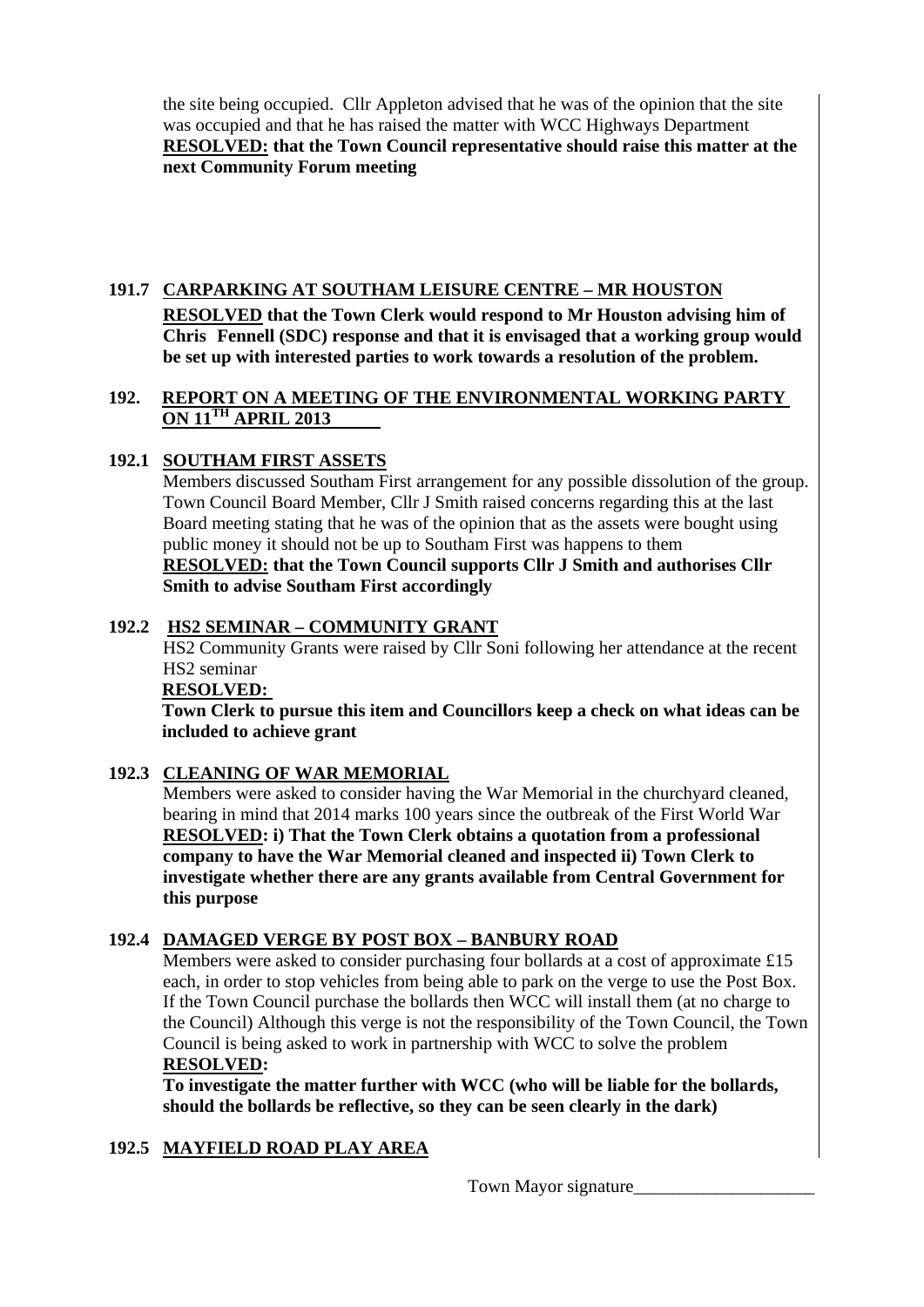the site being occupied. Cllr Appleton advised that he was of the opinion that the site was occupied and that he has raised the matter with WCC Highways Department **RESOLVED: that the Town Council representative should raise this matter at the next Community Forum meeting** 

# **191.7 CARPARKING AT SOUTHAM LEISURE CENTRE – MR HOUSTON**

**RESOLVED that the Town Clerk would respond to Mr Houston advising him of Chris Fennell (SDC) response and that it is envisaged that a working group would be set up with interested parties to work towards a resolution of the problem.**

### **192. REPORT ON A MEETING OF THE ENVIRONMENTAL WORKING PARTY ON 11TH APRIL 2013**

# **192.1 SOUTHAM FIRST ASSETS**

 Members discussed Southam First arrangement for any possible dissolution of the group. Town Council Board Member, Cllr J Smith raised concerns regarding this at the last Board meeting stating that he was of the opinion that as the assets were bought using public money it should not be up to Southam First was happens to them **RESOLVED: that the Town Council supports Cllr J Smith and authorises Cllr Smith to advise Southam First accordingly** 

# **192.2 HS2 SEMINAR – COMMUNITY GRANT**

HS2 Community Grants were raised by Cllr Soni following her attendance at the recent HS2 seminar

**RESOLVED:** 

**Town Clerk to pursue this item and Councillors keep a check on what ideas can be included to achieve grant** 

# **192.3 CLEANING OF WAR MEMORIAL**

 Members were asked to consider having the War Memorial in the churchyard cleaned, bearing in mind that 2014 marks 100 years since the outbreak of the First World War  **RESOLVED: i) That the Town Clerk obtains a quotation from a professional company to have the War Memorial cleaned and inspected ii) Town Clerk to investigate whether there are any grants available from Central Government for this purpose** 

# **192.4 DAMAGED VERGE BY POST BOX – BANBURY ROAD**

Members were asked to consider purchasing four bollards at a cost of approximate £15 each, in order to stop vehicles from being able to park on the verge to use the Post Box. If the Town Council purchase the bollards then WCC will install them (at no charge to the Council) Although this verge is not the responsibility of the Town Council, the Town Council is being asked to work in partnership with WCC to solve the problem **RESOLVED:** 

**To investigate the matter further with WCC (who will be liable for the bollards, should the bollards be reflective, so they can be seen clearly in the dark)** 

# **192.5 MAYFIELD ROAD PLAY AREA**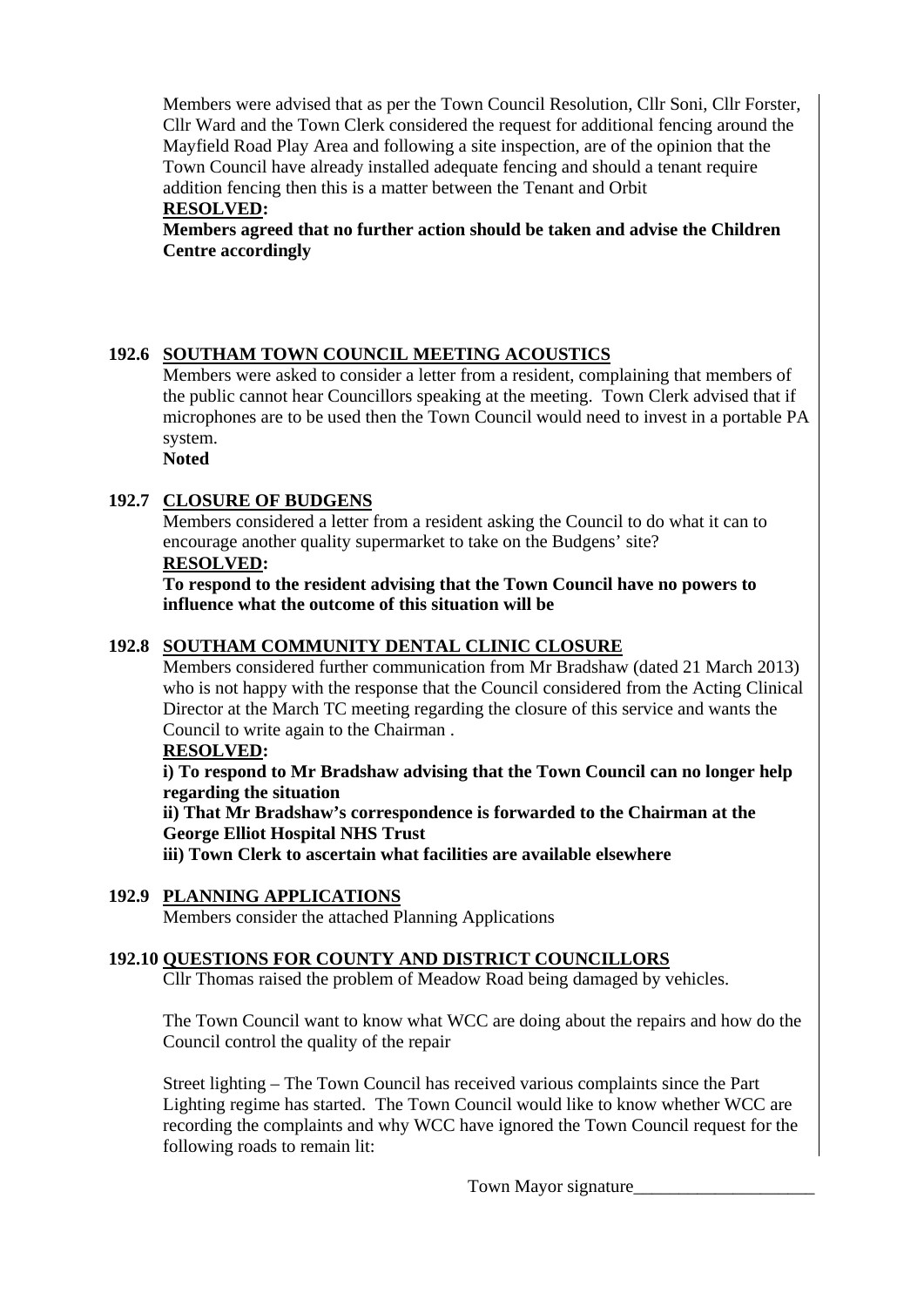Members were advised that as per the Town Council Resolution, Cllr Soni, Cllr Forster, Cllr Ward and the Town Clerk considered the request for additional fencing around the Mayfield Road Play Area and following a site inspection, are of the opinion that the Town Council have already installed adequate fencing and should a tenant require addition fencing then this is a matter between the Tenant and Orbit

#### **RESOLVED:**

**Members agreed that no further action should be taken and advise the Children Centre accordingly** 

# **192.6 SOUTHAM TOWN COUNCIL MEETING ACOUSTICS**

Members were asked to consider a letter from a resident, complaining that members of the public cannot hear Councillors speaking at the meeting. Town Clerk advised that if microphones are to be used then the Town Council would need to invest in a portable PA system.

 **Noted** 

#### **192.7 CLOSURE OF BUDGENS**

Members considered a letter from a resident asking the Council to do what it can to encourage another quality supermarket to take on the Budgens' site?

# **RESOLVED:**

**To respond to the resident advising that the Town Council have no powers to influence what the outcome of this situation will be** 

#### **192.8 SOUTHAM COMMUNITY DENTAL CLINIC CLOSURE**

Members considered further communication from Mr Bradshaw (dated 21 March 2013) who is not happy with the response that the Council considered from the Acting Clinical Director at the March TC meeting regarding the closure of this service and wants the Council to write again to the Chairman .

#### **RESOLVED:**

**i) To respond to Mr Bradshaw advising that the Town Council can no longer help regarding the situation** 

**ii) That Mr Bradshaw's correspondence is forwarded to the Chairman at the George Elliot Hospital NHS Trust** 

**iii) Town Clerk to ascertain what facilities are available elsewhere** 

**192.9 PLANNING APPLICATIONS**

Members consider the attached Planning Applications

#### **192.10 QUESTIONS FOR COUNTY AND DISTRICT COUNCILLORS**

Cllr Thomas raised the problem of Meadow Road being damaged by vehicles.

The Town Council want to know what WCC are doing about the repairs and how do the Council control the quality of the repair

Street lighting – The Town Council has received various complaints since the Part Lighting regime has started. The Town Council would like to know whether WCC are recording the complaints and why WCC have ignored the Town Council request for the following roads to remain lit: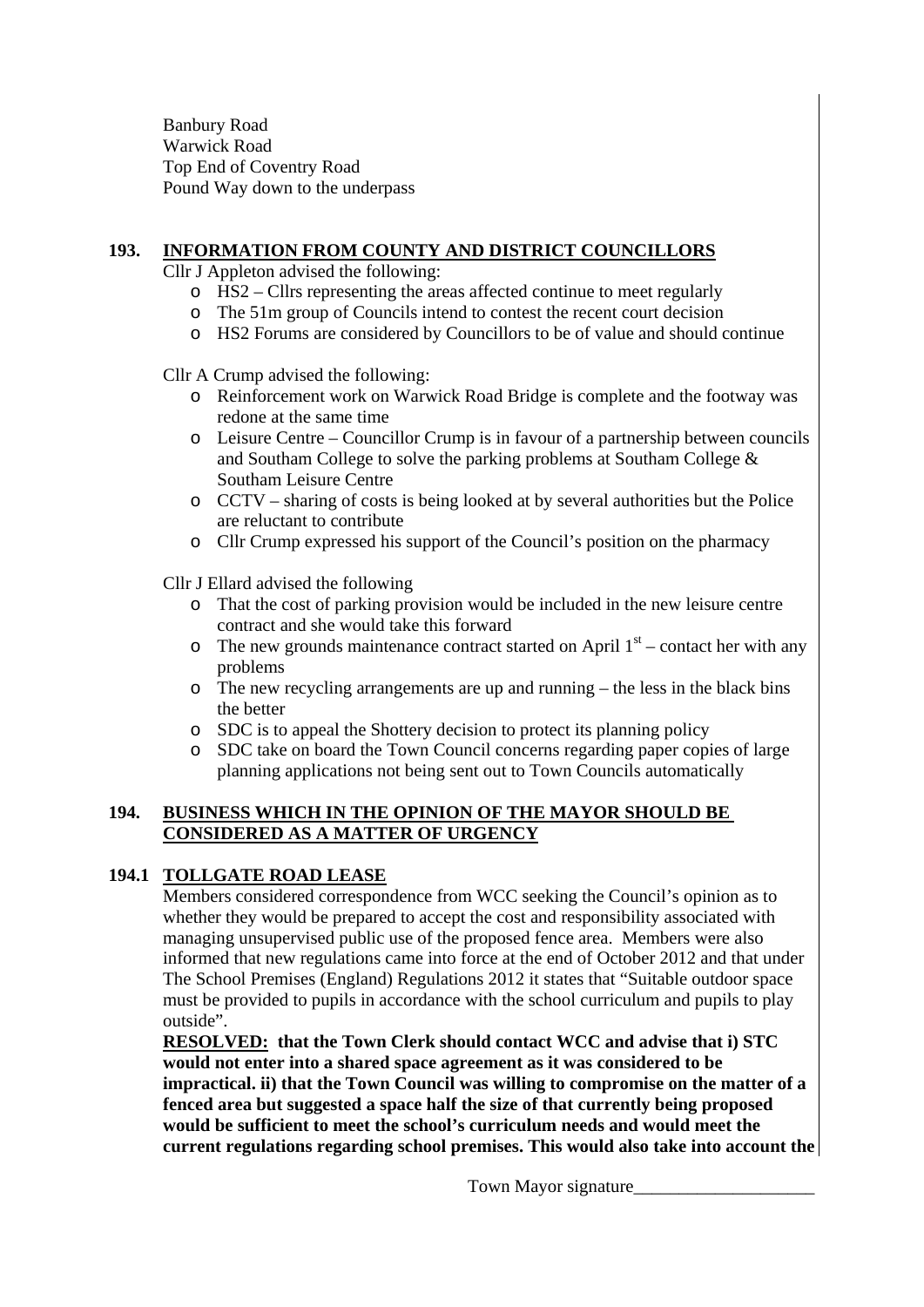Banbury Road Warwick Road Top End of Coventry Road Pound Way down to the underpass

# **193. INFORMATION FROM COUNTY AND DISTRICT COUNCILLORS**

Cllr J Appleton advised the following:

- o HS2 Cllrs representing the areas affected continue to meet regularly
- o The 51m group of Councils intend to contest the recent court decision
- o HS2 Forums are considered by Councillors to be of value and should continue

Cllr A Crump advised the following:

- o Reinforcement work on Warwick Road Bridge is complete and the footway was redone at the same time
- o Leisure Centre Councillor Crump is in favour of a partnership between councils and Southam College to solve the parking problems at Southam College & Southam Leisure Centre
- o CCTV sharing of costs is being looked at by several authorities but the Police are reluctant to contribute
- o Cllr Crump expressed his support of the Council's position on the pharmacy

Cllr J Ellard advised the following

- o That the cost of parking provision would be included in the new leisure centre contract and she would take this forward
- $\circ$  The new grounds maintenance contract started on April  $1<sup>st</sup>$  contact her with any problems
- o The new recycling arrangements are up and running the less in the black bins the better
- o SDC is to appeal the Shottery decision to protect its planning policy
- o SDC take on board the Town Council concerns regarding paper copies of large planning applications not being sent out to Town Councils automatically

### **194. BUSINESS WHICH IN THE OPINION OF THE MAYOR SHOULD BE CONSIDERED AS A MATTER OF URGENCY**

# **194.1 TOLLGATE ROAD LEASE**

Members considered correspondence from WCC seeking the Council's opinion as to whether they would be prepared to accept the cost and responsibility associated with managing unsupervised public use of the proposed fence area. Members were also informed that new regulations came into force at the end of October 2012 and that under The School Premises (England) Regulations 2012 it states that "Suitable outdoor space must be provided to pupils in accordance with the school curriculum and pupils to play outside".

**RESOLVED: that the Town Clerk should contact WCC and advise that i) STC would not enter into a shared space agreement as it was considered to be impractical. ii) that the Town Council was willing to compromise on the matter of a fenced area but suggested a space half the size of that currently being proposed would be sufficient to meet the school's curriculum needs and would meet the current regulations regarding school premises. This would also take into account the** 

Town Mayor signature\_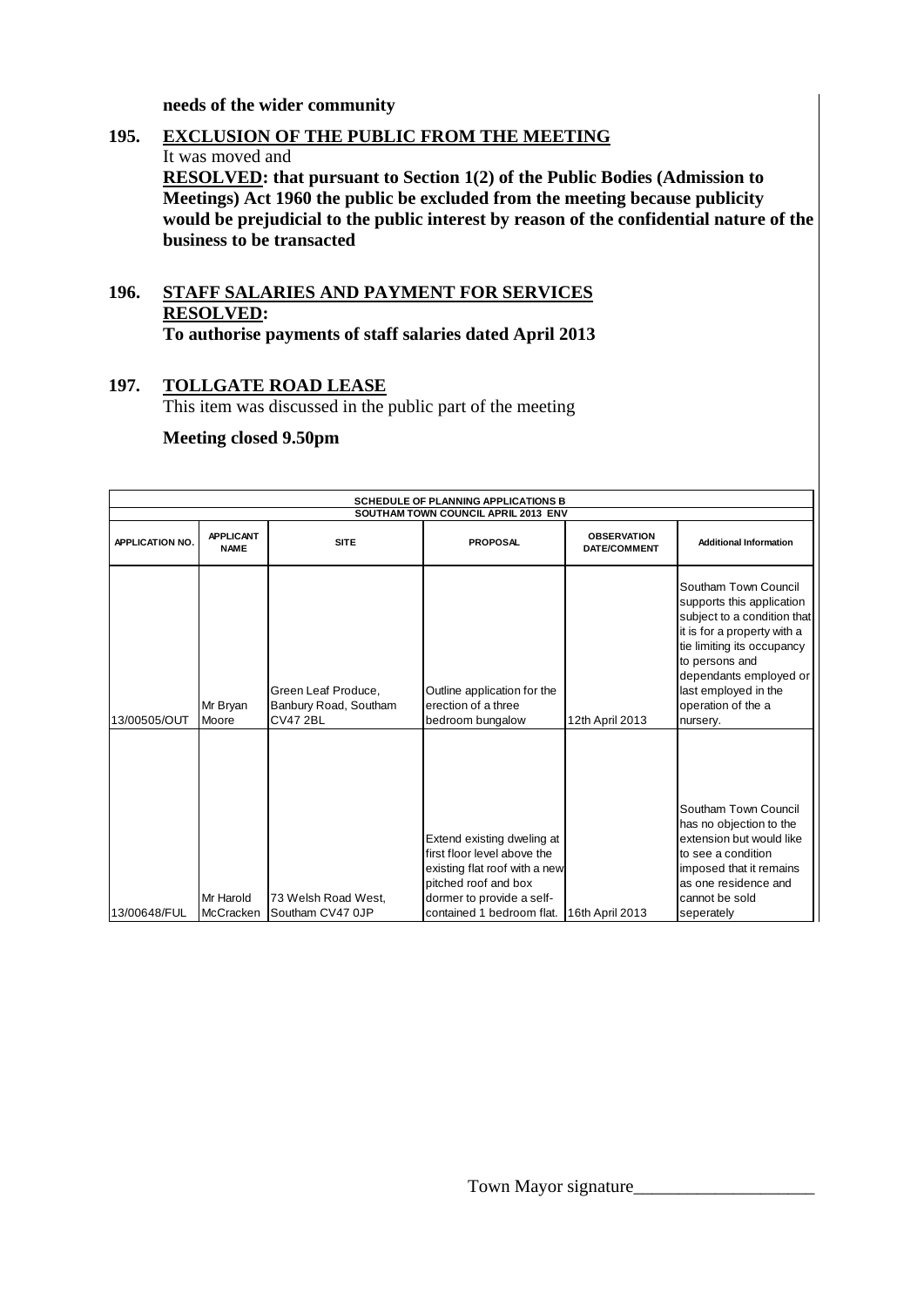**needs of the wider community** 

### **195. EXCLUSION OF THE PUBLIC FROM THE MEETING**

It was moved and

**RESOLVED: that pursuant to Section 1(2) of the Public Bodies (Admission to Meetings) Act 1960 the public be excluded from the meeting because publicity would be prejudicial to the public interest by reason of the confidential nature of the business to be transacted** 

#### **196. STAFF SALARIES AND PAYMENT FOR SERVICES RESOLVED: To authorise payments of staff salaries dated April 2013**

# **197. TOLLGATE ROAD LEASE**

This item was discussed in the public part of the meeting

#### **Meeting closed 9.50pm**

| <b>SCHEDULE OF PLANNING APPLICATIONS B</b> |                                 |                                                                 |                                                                                                                                                                              |                                           |                                                                                                                                                                                                                                                     |  |  |
|--------------------------------------------|---------------------------------|-----------------------------------------------------------------|------------------------------------------------------------------------------------------------------------------------------------------------------------------------------|-------------------------------------------|-----------------------------------------------------------------------------------------------------------------------------------------------------------------------------------------------------------------------------------------------------|--|--|
| SOUTHAM TOWN COUNCIL APRIL 2013 ENV        |                                 |                                                                 |                                                                                                                                                                              |                                           |                                                                                                                                                                                                                                                     |  |  |
| <b>APPLICATION NO.</b>                     | <b>APPLICANT</b><br><b>NAME</b> | <b>SITE</b>                                                     | <b>PROPOSAL</b>                                                                                                                                                              | <b>OBSERVATION</b><br><b>DATE/COMMENT</b> | <b>Additional Information</b>                                                                                                                                                                                                                       |  |  |
| 13/00505/OUT                               | Mr Bryan<br>Moore               | Green Leaf Produce,<br>Banbury Road, Southam<br><b>CV47 2BL</b> | Outline application for the<br>erection of a three<br>bedroom bungalow                                                                                                       | 12th April 2013                           | Southam Town Council<br>supports this application<br>subject to a condition that<br>it is for a property with a<br>tie limiting its occupancy<br>to persons and<br>dependants employed or<br>last employed in the<br>operation of the a<br>nursery. |  |  |
| 13/00648/FUL                               | Mr Harold<br>McCracken          | 73 Welsh Road West,<br>Southam CV47 0JP                         | Extend existing dweling at<br>first floor level above the<br>existing flat roof with a new<br>pitched roof and box<br>dormer to provide a self-<br>contained 1 bedroom flat. | 16th April 2013                           | Southam Town Council<br>has no objection to the<br>extension but would like<br>to see a condition<br>imposed that it remains<br>as one residence and<br>cannot be sold<br>seperately                                                                |  |  |